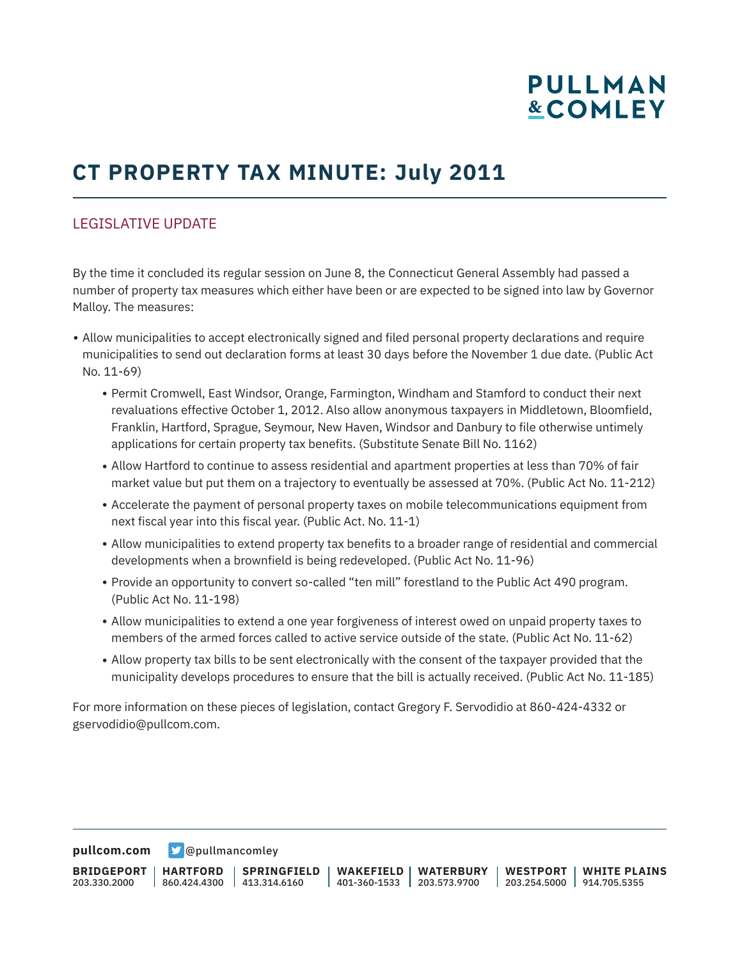# **PULLMAN &COMLEY**

## **CT PROPERTY TAX MINUTE: July 2011**

## LEGISLATIVE UPDATE

By the time it concluded its regular session on June 8, the Connecticut General Assembly had passed a number of property tax measures which either have been or are expected to be signed into law by Governor Malloy. The measures:

- Allow municipalities to accept electronically signed and filed personal property declarations and require municipalities to send out declaration forms at least 30 days before the November 1 due date. (Public Act No. 11-69)
	- Permit Cromwell, East Windsor, Orange, Farmington, Windham and Stamford to conduct their next revaluations effective October 1, 2012. Also allow anonymous taxpayers in Middletown, Bloomfield, Franklin, Hartford, Sprague, Seymour, New Haven, Windsor and Danbury to file otherwise untimely applications for certain property tax benefits. (Substitute Senate Bill No. 1162)
	- Allow Hartford to continue to assess residential and apartment properties at less than 70% of fair market value but put them on a trajectory to eventually be assessed at 70%. (Public Act No. 11-212)
	- Accelerate the payment of personal property taxes on mobile telecommunications equipment from next fiscal year into this fiscal year. (Public Act. No. 11-1)
	- Allow municipalities to extend property tax benefits to a broader range of residential and commercial developments when a brownfield is being redeveloped. (Public Act No. 11-96)
	- Provide an opportunity to convert so-called "ten mill" forestland to the Public Act 490 program. (Public Act No. 11-198)
	- Allow municipalities to extend a one year forgiveness of interest owed on unpaid property taxes to members of the armed forces called to active service outside of the state. (Public Act No. 11-62)
	- Allow property tax bills to be sent electronically with the consent of the taxpayer provided that the municipality develops procedures to ensure that the bill is actually received. (Public Act No. 11-185)

For more information on these pieces of legislation, contact Gregory F. Servodidio at 860-424-4332 or gservodidio@pullcom.com.

**[pullcom.com](https://www.pullcom.com) g** [@pullmancomley](https://twitter.com/PullmanComley)